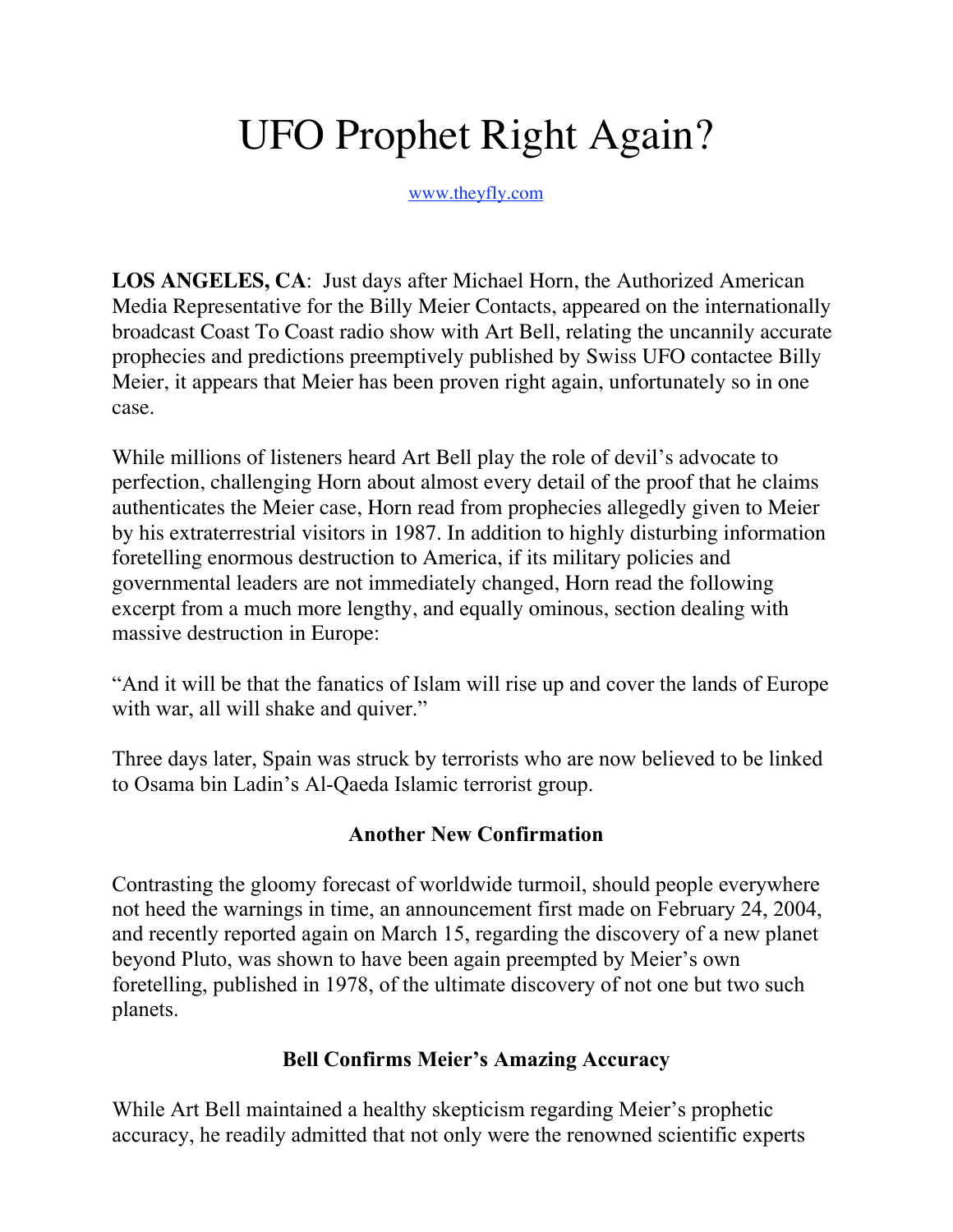# UFO Prophet Right Again?

www.theyfly.com

**LOS ANGELES, CA**: Just days after Michael Horn, the Authorized American Media Representative for the Billy Meier Contacts, appeared on the internationally broadcast Coast To Coast radio show with Art Bell, relating the uncannily accurate prophecies and predictions preemptively published by Swiss UFO contactee Billy Meier, it appears that Meier has been proven right again, unfortunately so in one case.

While millions of listeners heard Art Bell play the role of devil's advocate to perfection, challenging Horn about almost every detail of the proof that he claims authenticates the Meier case, Horn read from prophecies allegedly given to Meier by his extraterrestrial visitors in 1987. In addition to highly disturbing information foretelling enormous destruction to America, if its military policies and governmental leaders are not immediately changed, Horn read the following excerpt from a much more lengthy, and equally ominous, section dealing with massive destruction in Europe:

"And it will be that the fanatics of Islam will rise up and cover the lands of Europe with war, all will shake and quiver."

Three days later, Spain was struck by terrorists who are now believed to be linked to Osama bin Ladin's Al-Qaeda Islamic terrorist group.

### **Another New Confirmation**

Contrasting the gloomy forecast of worldwide turmoil, should people everywhere not heed the warnings in time, an announcement first made on February 24, 2004, and recently reported again on March 15, regarding the discovery of a new planet beyond Pluto, was shown to have been again preempted by Meier's own foretelling, published in 1978, of the ultimate discovery of not one but two such planets.

## **Bell Confirms Meier's Amazing Accuracy**

While Art Bell maintained a healthy skepticism regarding Meier's prophetic accuracy, he readily admitted that not only were the renowned scientific experts